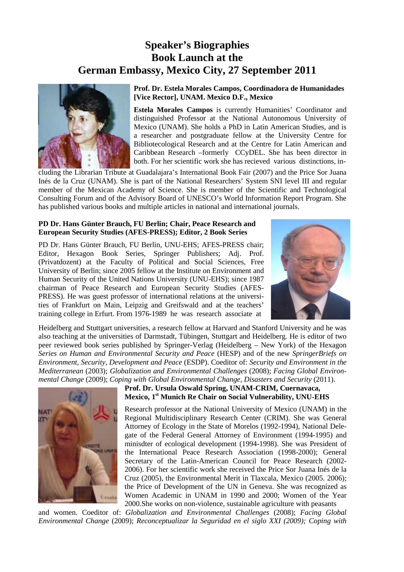# **Speaker's Biographies Book Launch at the German Embassy, Mexico City, 27 September 2011**



### **Prof. Dr. Estela Morales Campos, Coordinadora de Humanidades [Vice Rector], UNAM. Mexico D.F., Mexico**

**Estela Morales Campos** is currently Humanities' Coordinator and distinguished Professor at the National Autonomous University of Mexico (UNAM). She holds a PhD in Latin American Studies, and is a researcher and postgraduate fellow at the University Centre for Bibliotecological Research and at the Centre for Latin American and Caribbean Research –formerly CCyDEL. She has been director in both. For her scientific work she has recieved various distinctions, in-

cluding the Librarian Tribute at Guadalajara's International Book Fair (2007) and the Price Sor Juana Inés de la Cruz (UNAM). She is part of the National Researchers' System SNI level III and regular member of the Mexican Academy of Science. She is member of the Scientific and Technological Consulting Forum and of the Advisory Board of UNESCO's World Information Report Program. She has published various books and multiple articles in national and international journals.

#### **PD Dr. Hans Günter Brauch, FU Berlin; Chair, Peace Research and European Security Studies (AFES-PRESS); Editor, 2 Book Series**

PD Dr. Hans Günter Brauch, FU Berlin, UNU-EHS; AFES-PRESS chair; Editor, Hexagon Book Series, Springer Publishers; Adj. Prof. (Privatdozent) at the Faculty of Political and Social Sciences, Free University of Berlin; since 2005 fellow at the Institute on Environment and Human Security of the United Nations University (UNU-EHS); since 1987 chairman of Peace Research and European Security Studies (AFES-PRESS). He was guest professor of international relations at the universities of Frankfurt on Main, Leipzig and Greifswald and at the teachers' training college in Erfurt. From 1976-1989 he was research associate at



Heidelberg and Stuttgart universities, a research fellow at Harvard and Stanford University and he was also teaching at the universities of Darmstadt, Tübingen, Stuttgart and Heidelberg. He is editor of two peer reviewed book series published by Springer-Verlag (Heidelberg – New York) of the Hexagon *Series on Human and Environmental Security and Peace* (HESP) and of the new *SpringerBriefs on Environment, Security, Development and Peace* (ESDP). Coeditor of: *Security and Environment in the Mediterranean* (2003); *Globalization and Environmental Challenges* (2008); *Facing Global Environmental Change* (2009); *Coping with Global Environmental Change, Disasters and Security* (2011).



## **Prof. Dr. Ursula Oswald Spring, UNAM-CRIM, Cuernavaca, Mexico, 1st Munich Re Chair on Social Vulnerability, UNU-EHS**

Research professor at the National University of Mexico (UNAM) in the Regional Multidisciplinary Research Center (CRIM). She was General Attorney of Ecology in the State of Morelos (1992-1994), National Delegate of the Federal General Attorney of Environment (1994-1995) and minisdter of ecological development (1994-1998). She was President of the International Peace Research Association (1998-2000); General Secretary of the Latin-American Council for Peace Research (2002- 2006). For her scientific work she received the Price Sor Juana Inés de la Cruz (2005), the Environmental Merit in Tlaxcala, Mexico (2005. 2006); the Price of Development of the UN in Geneva. She was recognized as Women Academic in UNAM in 1990 and 2000; Women of the Year 2000.She works on non-violence, sustainable agriculture with peasants

and women. Coeditor of: *Globalization and Environmental Challenges* (2008); *Facing Global Environmental Change* (2009); *Reconceptualizar la Seguridad en el siglo XXI (2009); Coping with*